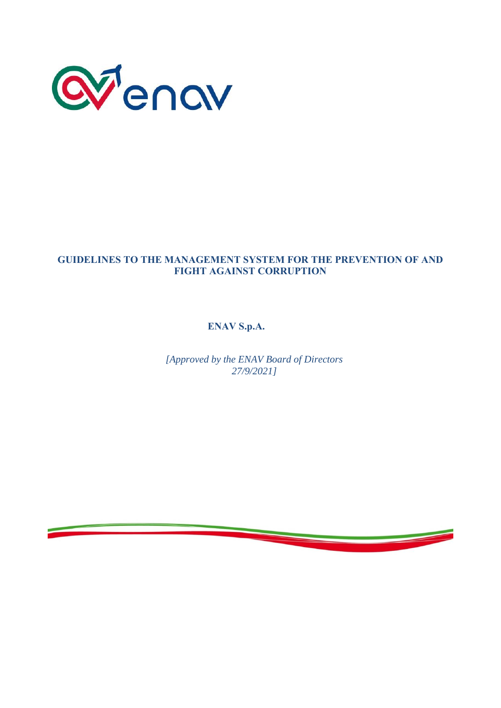

## **GUIDELINES TO THE MANAGEMENT SYSTEM FOR THE PREVENTION OF AND FIGHT AGAINST CORRUPTION**

**ENAV S.p.A.**

*[Approved by the ENAV Board of Directors 27/9/2021]*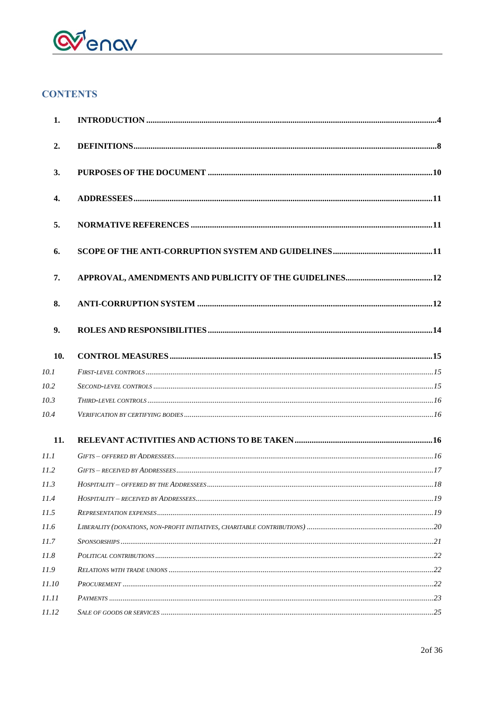

# **CONTENTS**

| 2.<br>3.<br>4. |  |
|----------------|--|
|                |  |
|                |  |
|                |  |
| 5.             |  |
| 6.             |  |
| 7.             |  |
| 8.             |  |
| 9.             |  |
| 10.            |  |
| 10.1           |  |
| 10.2           |  |
| 10.3           |  |
| 10.4           |  |
| 11.            |  |
| 11.1           |  |
| <i>11.2</i>    |  |
| 11.3           |  |
| 11.4           |  |
| 11.5           |  |
| 11.6           |  |
| 11.7           |  |
| 11.8           |  |
| 11.9           |  |
| 11.10          |  |
| 11.11          |  |
| 11.12          |  |

<u>and the state of the state of the state</u>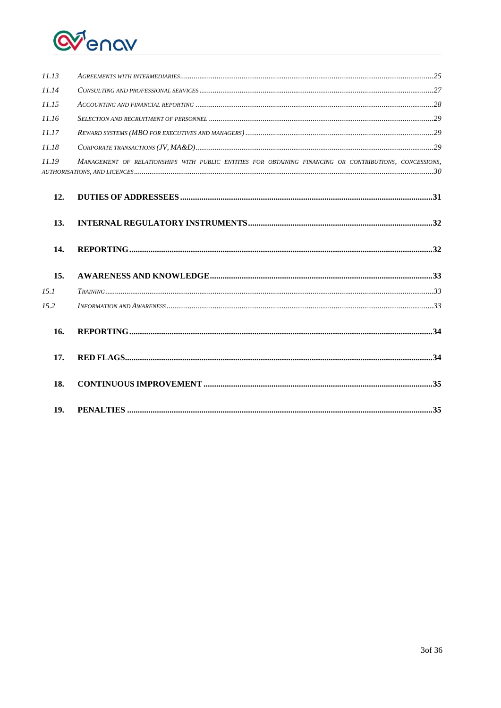

| 11.13 |                                                                                                         |  |
|-------|---------------------------------------------------------------------------------------------------------|--|
| 11.14 | $\sum_{i=1}^{n}$                                                                                        |  |
| 11.15 |                                                                                                         |  |
| 11.16 |                                                                                                         |  |
| 11.17 |                                                                                                         |  |
| 11.18 |                                                                                                         |  |
| 11.19 | MANAGEMENT OF RELATIONSHIPS WITH PUBLIC ENTITIES FOR OBTAINING FINANCING OR CONTRIBUTIONS, CONCESSIONS, |  |
| 12.   |                                                                                                         |  |
| 13.   |                                                                                                         |  |
| 14.   |                                                                                                         |  |
| 15.   |                                                                                                         |  |
| 15.1  |                                                                                                         |  |
| 15.2  |                                                                                                         |  |
| 16.   |                                                                                                         |  |
| 17.   |                                                                                                         |  |
| 18.   |                                                                                                         |  |
| 19.   |                                                                                                         |  |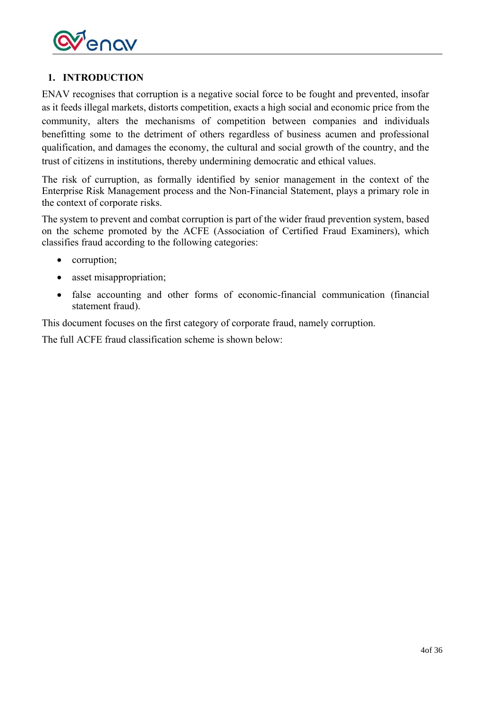

## <span id="page-3-0"></span>**1. INTRODUCTION**

ENAV recognises that corruption is a negative social force to be fought and prevented, insofar as it feeds illegal markets, distorts competition, exacts a high social and economic price from the community, alters the mechanisms of competition between companies and individuals benefitting some to the detriment of others regardless of business acumen and professional qualification, and damages the economy, the cultural and social growth of the country, and the trust of citizens in institutions, thereby undermining democratic and ethical values.

The risk of curruption, as formally identified by senior management in the context of the Enterprise Risk Management process and the Non-Financial Statement, plays a primary role in the context of corporate risks.

The system to prevent and combat corruption is part of the wider fraud prevention system, based on the scheme promoted by the ACFE (Association of Certified Fraud Examiners), which classifies fraud according to the following categories:

- corruption;
- asset misappropriation;
- false accounting and other forms of economic-financial communication (financial statement fraud).

This document focuses on the first category of corporate fraud, namely corruption.

The full ACFE fraud classification scheme is shown below: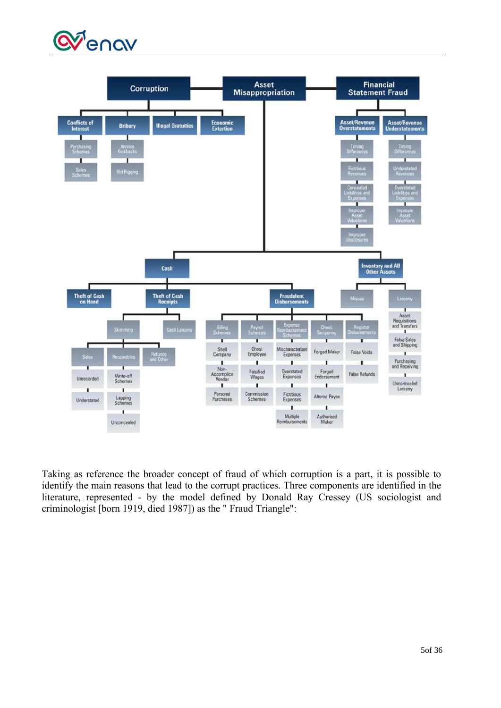



Taking as reference the broader concept of fraud of which corruption is a part, it is possible to identify the main reasons that lead to the corrupt practices. Three components are identified in the literature, represented - by the model defined by Donald Ray Cressey (US sociologist and criminologist [born 1919, died 1987]) as the " Fraud Triangle":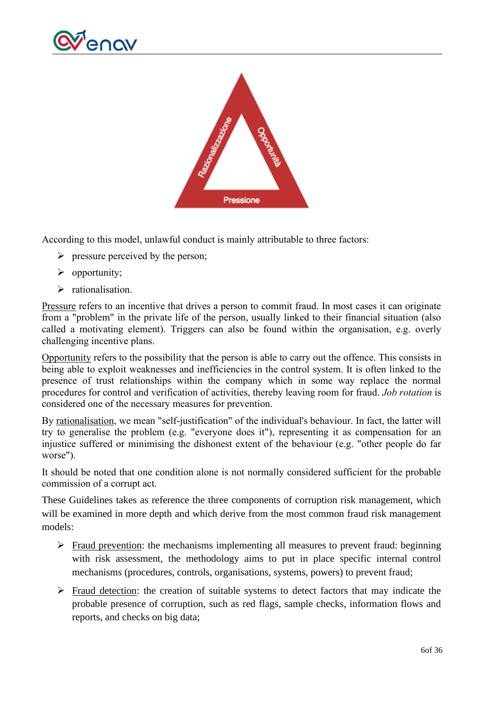



According to this model, unlawful conduct is mainly attributable to three factors:

- $\triangleright$  pressure perceived by the person;
- ➢ opportunity;
- ➢ rationalisation.

Pressure refers to an incentive that drives a person to commit fraud. In most cases it can originate from a "problem" in the private life of the person, usually linked to their financial situation (also called a motivating element). Triggers can also be found within the organisation, e.g. overly challenging incentive plans.

Opportunity refers to the possibility that the person is able to carry out the offence. This consists in being able to exploit weaknesses and inefficiencies in the control system. It is often linked to the presence of trust relationships within the company which in some way replace the normal procedures for control and verification of activities, thereby leaving room for fraud. *Job rotation* is considered one of the necessary measures for prevention.

By rationalisation, we mean "self-justification" of the individual's behaviour. In fact, the latter will try to generalise the problem (e.g. "everyone does it"), representing it as compensation for an injustice suffered or minimising the dishonest extent of the behaviour (e.g. "other people do far worse").

It should be noted that one condition alone is not normally considered sufficient for the probable commission of a corrupt act.

These Guidelines takes as reference the three components of corruption risk management, which will be examined in more depth and which derive from the most common fraud risk management models:

- ➢ Fraud prevention: the mechanisms implementing all measures to prevent fraud: beginning with risk assessment, the methodology aims to put in place specific internal control mechanisms (procedures, controls, organisations, systems, powers) to prevent fraud;
- ➢ Fraud detection: the creation of suitable systems to detect factors that may indicate the probable presence of corruption, such as red flags, sample checks, information flows and reports, and checks on big data;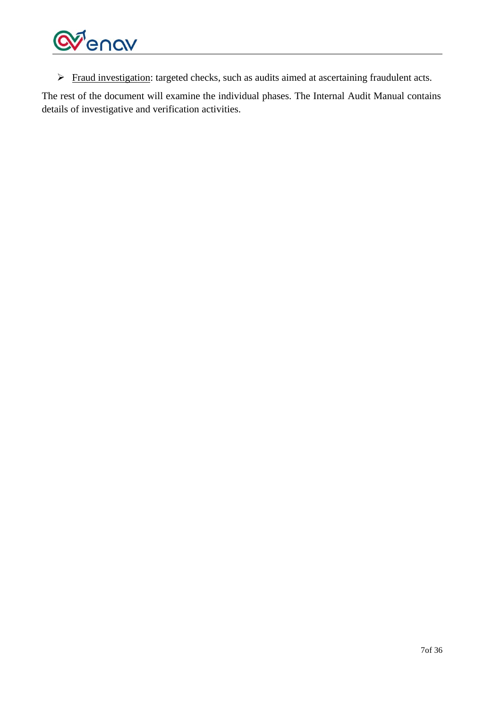

➢ Fraud investigation: targeted checks, such as audits aimed at ascertaining fraudulent acts.

The rest of the document will examine the individual phases. The Internal Audit Manual contains details of investigative and verification activities.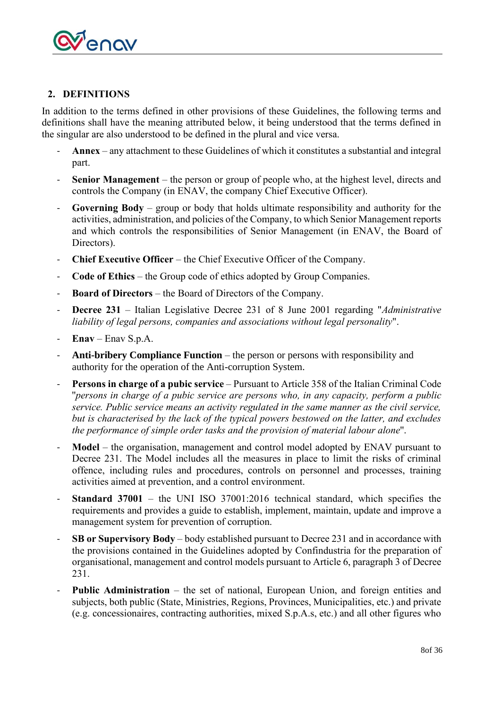

## <span id="page-7-0"></span>**2. DEFINITIONS**

In addition to the terms defined in other provisions of these Guidelines, the following terms and definitions shall have the meaning attributed below, it being understood that the terms defined in the singular are also understood to be defined in the plural and vice versa.

- **Annex** any attachment to these Guidelines of which it constitutes a substantial and integral part.
- Senior Management the person or group of people who, at the highest level, directs and controls the Company (in ENAV, the company Chief Executive Officer).
- **Governing Body** group or body that holds ultimate responsibility and authority for the activities, administration, and policies of the Company, to which Senior Management reports and which controls the responsibilities of Senior Management (in ENAV, the Board of Directors).
- **Chief Executive Officer** the Chief Executive Officer of the Company.
- **Code of Ethics** the Group code of ethics adopted by Group Companies.
- **Board of Directors**  the Board of Directors of the Company.
- **Decree 231** Italian Legislative Decree 231 of 8 June 2001 regarding "*Administrative liability of legal persons, companies and associations without legal personality*".
- **Enav** Enav S.p.A.
- **Anti-bribery Compliance Function** the person or persons with responsibility and authority for the operation of the Anti-corruption System.
- **Persons in charge of a pubic service** Pursuant to Article 358 of the Italian Criminal Code ''*persons in charge of a pubic service are persons who, in any capacity, perform a public service. Public service means an activity regulated in the same manner as the civil service, but is characterised by the lack of the typical powers bestowed on the latter, and excludes the performance of simple order tasks and the provision of material labour alone*''.
- **Model** the organisation, management and control model adopted by ENAV pursuant to Decree 231. The Model includes all the measures in place to limit the risks of criminal offence, including rules and procedures, controls on personnel and processes, training activities aimed at prevention, and a control environment.
- **Standard 37001** the UNI ISO 37001:2016 technical standard, which specifies the requirements and provides a guide to establish, implement, maintain, update and improve a management system for prevention of corruption.
- **SB or Supervisory Body** body established pursuant to Decree 231 and in accordance with the provisions contained in the Guidelines adopted by Confindustria for the preparation of organisational, management and control models pursuant to Article 6, paragraph 3 of Decree 231.
- **Public Administration** the set of national, European Union, and foreign entities and subjects, both public (State, Ministries, Regions, Provinces, Municipalities, etc.) and private (e.g. concessionaires, contracting authorities, mixed S.p.A.s, etc.) and all other figures who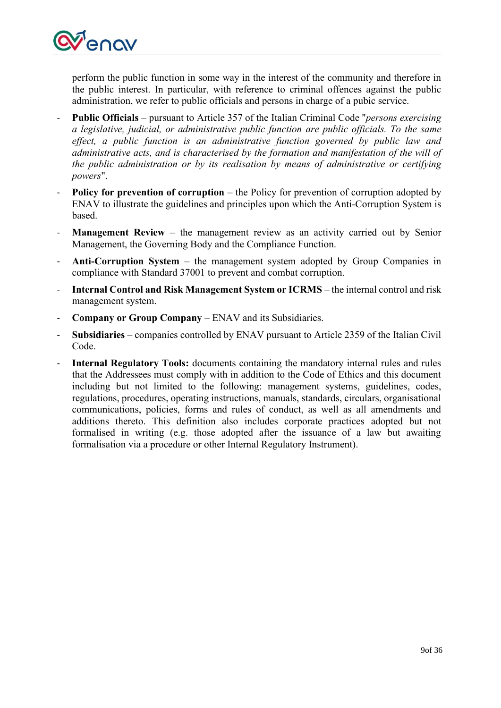

perform the public function in some way in the interest of the community and therefore in the public interest. In particular, with reference to criminal offences against the public administration, we refer to public officials and persons in charge of a pubic service.

- **Public Officials**  pursuant to Article 357 of the Italian Criminal Code ''*persons exercising a legislative, judicial, or administrative public function are public officials. To the same effect, a public function is an administrative function governed by public law and administrative acts, and is characterised by the formation and manifestation of the will of the public administration or by its realisation by means of administrative or certifying powers*".
- **Policy for prevention of corruption** the Policy for prevention of corruption adopted by ENAV to illustrate the guidelines and principles upon which the Anti-Corruption System is based.
- **Management Review** the management review as an activity carried out by Senior Management, the Governing Body and the Compliance Function.
- **Anti-Corruption System** the management system adopted by Group Companies in compliance with Standard 37001 to prevent and combat corruption.
- **Internal Control and Risk Management System or ICRMS** the internal control and risk management system.
- **Company or Group Company** ENAV and its Subsidiaries.
- **Subsidiaries** companies controlled by ENAV pursuant to Article 2359 of the Italian Civil Code.
- Internal Regulatory Tools: documents containing the mandatory internal rules and rules that the Addressees must comply with in addition to the Code of Ethics and this document including but not limited to the following: management systems, guidelines, codes, regulations, procedures, operating instructions, manuals, standards, circulars, organisational communications, policies, forms and rules of conduct, as well as all amendments and additions thereto. This definition also includes corporate practices adopted but not formalised in writing (e.g. those adopted after the issuance of a law but awaiting formalisation via a procedure or other Internal Regulatory Instrument).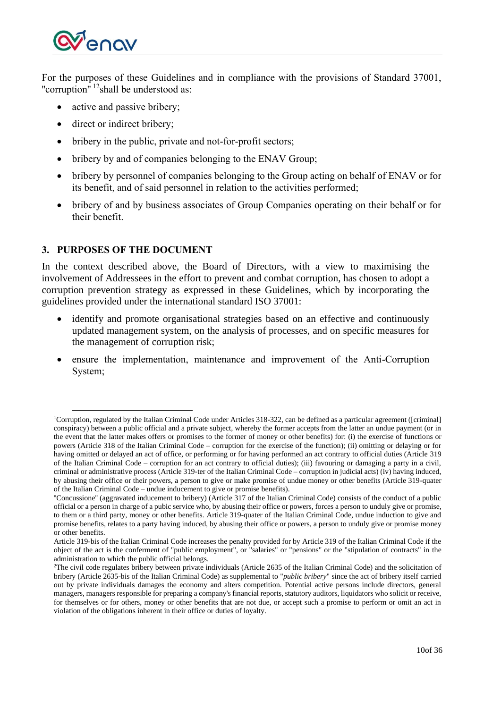

For the purposes of these Guidelines and in compliance with the provisions of Standard 37001, "corruption" <sup>12</sup> shall be understood as:

- active and passive bribery;
- direct or indirect bribery;
- bribery in the public, private and not-for-profit sectors;
- bribery by and of companies belonging to the ENAV Group;
- bribery by personnel of companies belonging to the Group acting on behalf of ENAV or for its benefit, and of said personnel in relation to the activities performed;
- bribery of and by business associates of Group Companies operating on their behalf or for their benefit.

## <span id="page-9-0"></span>**3. PURPOSES OF THE DOCUMENT**

In the context described above, the Board of Directors, with a view to maximising the involvement of Addressees in the effort to prevent and combat corruption, has chosen to adopt a corruption prevention strategy as expressed in these Guidelines, which by incorporating the guidelines provided under the international standard ISO 37001:

- identify and promote organisational strategies based on an effective and continuously updated management system, on the analysis of processes, and on specific measures for the management of corruption risk;
- ensure the implementation, maintenance and improvement of the Anti-Corruption System;

<sup>1</sup>Corruption, regulated by the Italian Criminal Code under Articles 318-322, can be defined as a particular agreement ([criminal] conspiracy) between a public official and a private subject, whereby the former accepts from the latter an undue payment (or in the event that the latter makes offers or promises to the former of money or other benefits) for: (i) the exercise of functions or powers (Article 318 of the Italian Criminal Code – corruption for the exercise of the function); (ii) omitting or delaying or for having omitted or delayed an act of office, or performing or for having performed an act contrary to official duties (Article 319 of the Italian Criminal Code – corruption for an act contrary to official duties); (iii) favouring or damaging a party in a civil, criminal or administrative process (Article 319-ter of the Italian Criminal Code – corruption in judicial acts) (iv) having induced, by abusing their office or their powers, a person to give or make promise of undue money or other benefits (Article 319-quater of the Italian Criminal Code – undue inducement to give or promise benefits).

<sup>&#</sup>x27;'Concussione'' (aggravated inducement to bribery) (Article 317 of the Italian Criminal Code) consists of the conduct of a public official or a person in charge of a pubic service who, by abusing their office or powers, forces a person to unduly give or promise, to them or a third party, money or other benefits. Article 319-quater of the Italian Criminal Code, undue induction to give and promise benefits, relates to a party having induced, by abusing their office or powers, a person to unduly give or promise money or other benefits.

Article 319-bis of the Italian Criminal Code increases the penalty provided for by Article 319 of the Italian Criminal Code if the object of the act is the conferment of "public employment", or "salaries" or "pensions" or the "stipulation of contracts" in the administration to which the public official belongs.

<sup>2</sup>The civil code regulates bribery between private individuals (Article 2635 of the Italian Criminal Code) and the solicitation of bribery (Article 2635-bis of the Italian Criminal Code) as supplemental to "*public bribery*" since the act of bribery itself carried out by private individuals damages the economy and alters competition. Potential active persons include directors, general managers, managers responsible for preparing a company's financial reports, statutory auditors, liquidators who solicit or receive, for themselves or for others, money or other benefits that are not due, or accept such a promise to perform or omit an act in violation of the obligations inherent in their office or duties of loyalty.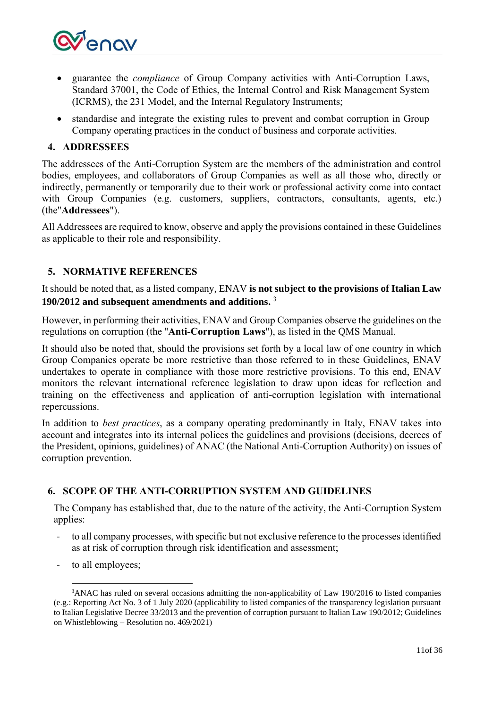

- guarantee the *compliance* of Group Company activities with Anti-Corruption Laws, Standard 37001, the Code of Ethics, the Internal Control and Risk Management System (ICRMS), the 231 Model, and the Internal Regulatory Instruments;
- standardise and integrate the existing rules to prevent and combat corruption in Group Company operating practices in the conduct of business and corporate activities.

### <span id="page-10-0"></span>**4. ADDRESSEES**

The addressees of the Anti-Corruption System are the members of the administration and control bodies, employees, and collaborators of Group Companies as well as all those who, directly or indirectly, permanently or temporarily due to their work or professional activity come into contact with Group Companies (e.g. customers, suppliers, contractors, consultants, agents, etc.) (the"**Addressees**").

All Addressees are required to know, observe and apply the provisions contained in these Guidelines as applicable to their role and responsibility.

## <span id="page-10-1"></span>**5. NORMATIVE REFERENCES**

It should be noted that, as a listed company, ENAV **is not subject to the provisions of Italian Law 190/2012 and subsequent amendments and additions.** 3

However, in performing their activities, ENAV and Group Companies observe the guidelines on the regulations on corruption (the ''**Anti-Corruption Laws**''), as listed in the QMS Manual.

It should also be noted that, should the provisions set forth by a local law of one country in which Group Companies operate be more restrictive than those referred to in these Guidelines, ENAV undertakes to operate in compliance with those more restrictive provisions. To this end, ENAV monitors the relevant international reference legislation to draw upon ideas for reflection and training on the effectiveness and application of anti-corruption legislation with international repercussions.

In addition to *best practices*, as a company operating predominantly in Italy, ENAV takes into account and integrates into its internal polices the guidelines and provisions (decisions, decrees of the President, opinions, guidelines) of ANAC (the National Anti-Corruption Authority) on issues of corruption prevention.

## <span id="page-10-2"></span>**6. SCOPE OF THE ANTI-CORRUPTION SYSTEM AND GUIDELINES**

The Company has established that, due to the nature of the activity, the Anti-Corruption System applies:

- to all company processes, with specific but not exclusive reference to the processes identified as at risk of corruption through risk identification and assessment;
- to all employees;

<sup>&</sup>lt;sup>3</sup>ANAC has ruled on several occasions admitting the non-applicability of Law 190/2016 to listed companies (e.g.: Reporting Act No. 3 of 1 July 2020 (applicability to listed companies of the transparency legislation pursuant to Italian Legislative Decree 33/2013 and the prevention of corruption pursuant to Italian Law 190/2012; Guidelines on Whistleblowing – Resolution no. 469/2021)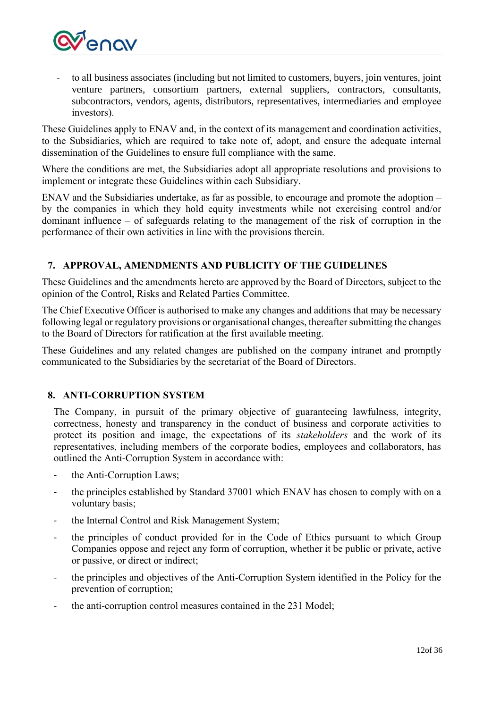

to all business associates (including but not limited to customers, buyers, join ventures, joint venture partners, consortium partners, external suppliers, contractors, consultants, subcontractors, vendors, agents, distributors, representatives, intermediaries and employee investors).

These Guidelines apply to ENAV and, in the context of its management and coordination activities, to the Subsidiaries, which are required to take note of, adopt, and ensure the adequate internal dissemination of the Guidelines to ensure full compliance with the same.

Where the conditions are met, the Subsidiaries adopt all appropriate resolutions and provisions to implement or integrate these Guidelines within each Subsidiary.

ENAV and the Subsidiaries undertake, as far as possible, to encourage and promote the adoption – by the companies in which they hold equity investments while not exercising control and/or dominant influence – of safeguards relating to the management of the risk of corruption in the performance of their own activities in line with the provisions therein.

## <span id="page-11-0"></span>**7. APPROVAL, AMENDMENTS AND PUBLICITY OF THE GUIDELINES**

These Guidelines and the amendments hereto are approved by the Board of Directors, subject to the opinion of the Control, Risks and Related Parties Committee.

The Chief Executive Officer is authorised to make any changes and additions that may be necessary following legal or regulatory provisions or organisational changes, thereafter submitting the changes to the Board of Directors for ratification at the first available meeting.

These Guidelines and any related changes are published on the company intranet and promptly communicated to the Subsidiaries by the secretariat of the Board of Directors.

### <span id="page-11-1"></span>**8. ANTI-CORRUPTION SYSTEM**

The Company, in pursuit of the primary objective of guaranteeing lawfulness, integrity, correctness, honesty and transparency in the conduct of business and corporate activities to protect its position and image, the expectations of its *stakeholders* and the work of its representatives, including members of the corporate bodies, employees and collaborators, has outlined the Anti-Corruption System in accordance with:

- the Anti-Corruption Laws;
- the principles established by Standard 37001 which ENAV has chosen to comply with on a voluntary basis;
- the Internal Control and Risk Management System;
- the principles of conduct provided for in the Code of Ethics pursuant to which Group Companies oppose and reject any form of corruption, whether it be public or private, active or passive, or direct or indirect;
- the principles and objectives of the Anti-Corruption System identified in the Policy for the prevention of corruption;
- the anti-corruption control measures contained in the 231 Model;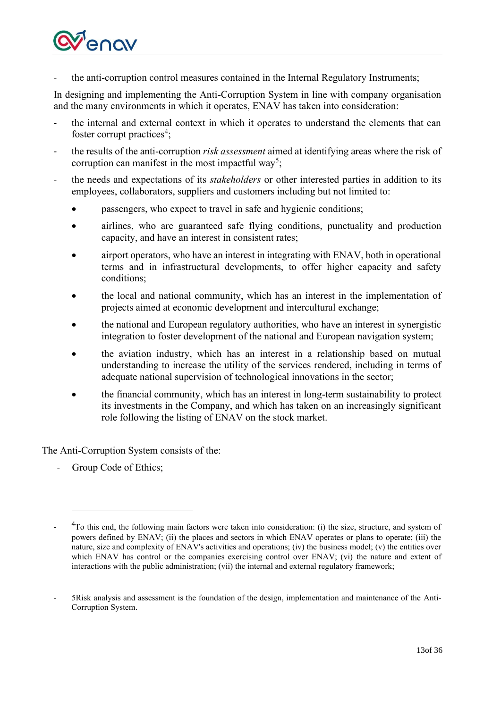

the anti-corruption control measures contained in the Internal Regulatory Instruments;

In designing and implementing the Anti-Corruption System in line with company organisation and the many environments in which it operates, ENAV has taken into consideration:

- the internal and external context in which it operates to understand the elements that can foster corrupt practices<sup>4</sup>;
- the results of the anti-corruption *risk assessment* aimed at identifying areas where the risk of corruption can manifest in the most impactful way<sup>5</sup>;
- the needs and expectations of its *stakeholders* or other interested parties in addition to its employees, collaborators, suppliers and customers including but not limited to:
	- passengers, who expect to travel in safe and hygienic conditions;
	- airlines, who are guaranteed safe flying conditions, punctuality and production capacity, and have an interest in consistent rates;
	- airport operators, who have an interest in integrating with ENAV, both in operational terms and in infrastructural developments, to offer higher capacity and safety conditions;
	- the local and national community, which has an interest in the implementation of projects aimed at economic development and intercultural exchange;
	- the national and European regulatory authorities, who have an interest in synergistic integration to foster development of the national and European navigation system;
	- the aviation industry, which has an interest in a relationship based on mutual understanding to increase the utility of the services rendered, including in terms of adequate national supervision of technological innovations in the sector;
	- the financial community, which has an interest in long-term sustainability to protect its investments in the Company, and which has taken on an increasingly significant role following the listing of ENAV on the stock market.

The Anti-Corruption System consists of the:

- Group Code of Ethics;

<sup>-</sup>  ${}^{4}$ To this end, the following main factors were taken into consideration: (i) the size, structure, and system of powers defined by ENAV; (ii) the places and sectors in which ENAV operates or plans to operate; (iii) the nature, size and complexity of ENAV's activities and operations; (iv) the business model; (v) the entities over which ENAV has control or the companies exercising control over ENAV; (vi) the nature and extent of interactions with the public administration; (vii) the internal and external regulatory framework;

<sup>-</sup> 5Risk analysis and assessment is the foundation of the design, implementation and maintenance of the Anti-Corruption System.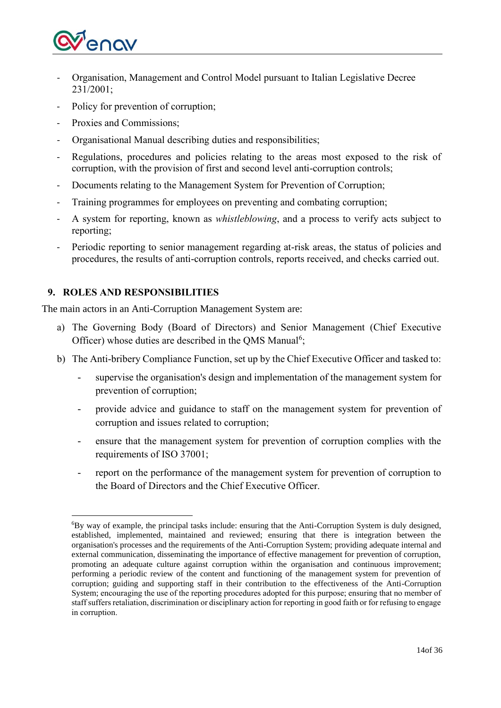

- Organisation, Management and Control Model pursuant to Italian Legislative Decree 231/2001;
- Policy for prevention of corruption;
- Proxies and Commissions:
- Organisational Manual describing duties and responsibilities;
- Regulations, procedures and policies relating to the areas most exposed to the risk of corruption, with the provision of first and second level anti-corruption controls;
- Documents relating to the Management System for Prevention of Corruption;
- Training programmes for employees on preventing and combating corruption;
- A system for reporting, known as *whistleblowing*, and a process to verify acts subject to reporting;
- Periodic reporting to senior management regarding at-risk areas, the status of policies and procedures, the results of anti-corruption controls, reports received, and checks carried out.

## <span id="page-13-0"></span>**9. ROLES AND RESPONSIBILITIES**

The main actors in an Anti-Corruption Management System are:

- a) The Governing Body (Board of Directors) and Senior Management (Chief Executive Officer) whose duties are described in the QMS Manual<sup>6</sup>;
- b) The Anti-bribery Compliance Function, set up by the Chief Executive Officer and tasked to:
	- supervise the organisation's design and implementation of the management system for prevention of corruption;
	- provide advice and guidance to staff on the management system for prevention of corruption and issues related to corruption;
	- ensure that the management system for prevention of corruption complies with the requirements of ISO 37001;
	- report on the performance of the management system for prevention of corruption to the Board of Directors and the Chief Executive Officer.

<sup>6</sup>By way of example, the principal tasks include: ensuring that the Anti-Corruption System is duly designed, established, implemented, maintained and reviewed; ensuring that there is integration between the organisation's processes and the requirements of the Anti-Corruption System; providing adequate internal and external communication, disseminating the importance of effective management for prevention of corruption, promoting an adequate culture against corruption within the organisation and continuous improvement; performing a periodic review of the content and functioning of the management system for prevention of corruption; guiding and supporting staff in their contribution to the effectiveness of the Anti-Corruption System; encouraging the use of the reporting procedures adopted for this purpose; ensuring that no member of staff suffers retaliation, discrimination or disciplinary action for reporting in good faith or for refusing to engage in corruption.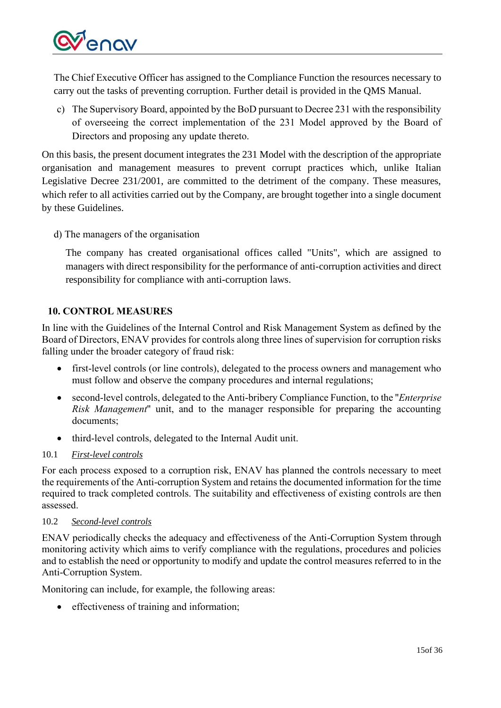

The Chief Executive Officer has assigned to the Compliance Function the resources necessary to carry out the tasks of preventing corruption. Further detail is provided in the QMS Manual.

c) The Supervisory Board, appointed by the BoD pursuant to Decree 231 with the responsibility of overseeing the correct implementation of the 231 Model approved by the Board of Directors and proposing any update thereto.

On this basis, the present document integrates the 231 Model with the description of the appropriate organisation and management measures to prevent corrupt practices which, unlike Italian Legislative Decree 231/2001, are committed to the detriment of the company. These measures, which refer to all activities carried out by the Company, are brought together into a single document by these Guidelines.

d) The managers of the organisation

The company has created organisational offices called "Units", which are assigned to managers with direct responsibility for the performance of anti-corruption activities and direct responsibility for compliance with anti-corruption laws.

## <span id="page-14-0"></span>**10. CONTROL MEASURES**

In line with the Guidelines of the Internal Control and Risk Management System as defined by the Board of Directors, ENAV provides for controls along three lines of supervision for corruption risks falling under the broader category of fraud risk:

- first-level controls (or line controls), delegated to the process owners and management who must follow and observe the company procedures and internal regulations;
- second-level controls, delegated to the Anti-bribery Compliance Function, to the ''*Enterprise Risk Management*'' unit, and to the manager responsible for preparing the accounting documents;
- third-level controls, delegated to the Internal Audit unit.

## <span id="page-14-1"></span>10.1 *First-level controls*

For each process exposed to a corruption risk, ENAV has planned the controls necessary to meet the requirements of the Anti-corruption System and retains the documented information for the time required to track completed controls. The suitability and effectiveness of existing controls are then assessed.

### <span id="page-14-2"></span>10.2 *Second-level controls*

ENAV periodically checks the adequacy and effectiveness of the Anti-Corruption System through monitoring activity which aims to verify compliance with the regulations, procedures and policies and to establish the need or opportunity to modify and update the control measures referred to in the Anti-Corruption System.

Monitoring can include, for example, the following areas:

• effectiveness of training and information: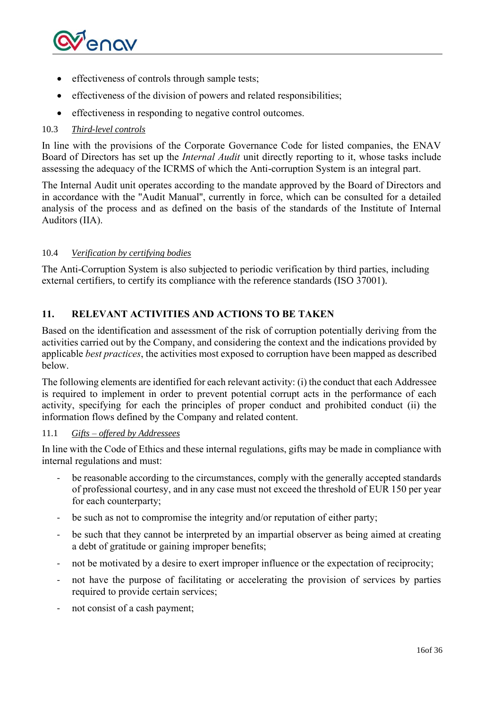

- effectiveness of controls through sample tests;
- effectiveness of the division of powers and related responsibilities;
- effectiveness in responding to negative control outcomes.

### <span id="page-15-0"></span>10.3 *Third-level controls*

In line with the provisions of the Corporate Governance Code for listed companies, the ENAV Board of Directors has set up the *Internal Audit* unit directly reporting to it, whose tasks include assessing the adequacy of the ICRMS of which the Anti-corruption System is an integral part.

The Internal Audit unit operates according to the mandate approved by the Board of Directors and in accordance with the ''Audit Manual'', currently in force, which can be consulted for a detailed analysis of the process and as defined on the basis of the standards of the Institute of Internal Auditors (IIA).

#### <span id="page-15-1"></span>10.4 *Verification by certifying bodies*

The Anti-Corruption System is also subjected to periodic verification by third parties, including external certifiers, to certify its compliance with the reference standards (ISO 37001).

## <span id="page-15-2"></span>**11. RELEVANT ACTIVITIES AND ACTIONS TO BE TAKEN**

Based on the identification and assessment of the risk of corruption potentially deriving from the activities carried out by the Company, and considering the context and the indications provided by applicable *best practices*, the activities most exposed to corruption have been mapped as described below.

The following elements are identified for each relevant activity: (i) the conduct that each Addressee is required to implement in order to prevent potential corrupt acts in the performance of each activity, specifying for each the principles of proper conduct and prohibited conduct (ii) the information flows defined by the Company and related content.

#### <span id="page-15-3"></span>11.1 *Gifts – offered by Addressees*

In line with the Code of Ethics and these internal regulations, gifts may be made in compliance with internal regulations and must:

- be reasonable according to the circumstances, comply with the generally accepted standards of professional courtesy, and in any case must not exceed the threshold of EUR 150 per year for each counterparty;
- be such as not to compromise the integrity and/or reputation of either party;
- be such that they cannot be interpreted by an impartial observer as being aimed at creating a debt of gratitude or gaining improper benefits;
- not be motivated by a desire to exert improper influence or the expectation of reciprocity;
- not have the purpose of facilitating or accelerating the provision of services by parties required to provide certain services;
- not consist of a cash payment;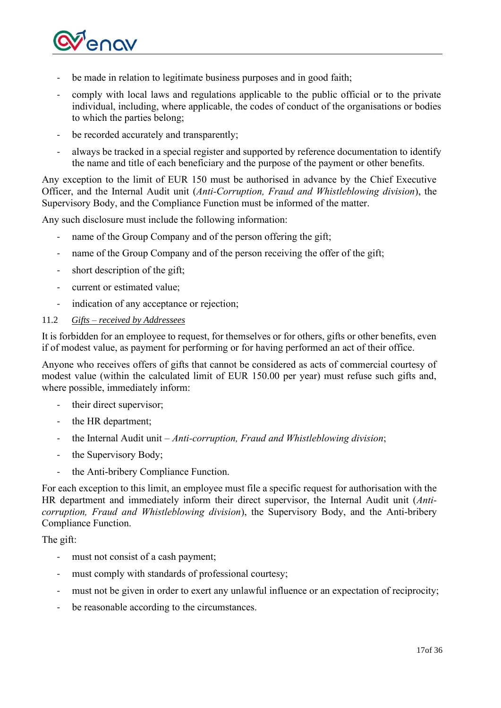

- be made in relation to legitimate business purposes and in good faith;
- comply with local laws and regulations applicable to the public official or to the private individual, including, where applicable, the codes of conduct of the organisations or bodies to which the parties belong;
- be recorded accurately and transparently;
- always be tracked in a special register and supported by reference documentation to identify the name and title of each beneficiary and the purpose of the payment or other benefits.

Any exception to the limit of EUR 150 must be authorised in advance by the Chief Executive Officer, and the Internal Audit unit (*Anti-Corruption, Fraud and Whistleblowing division*), the Supervisory Body, and the Compliance Function must be informed of the matter.

Any such disclosure must include the following information:

- name of the Group Company and of the person offering the gift;
- name of the Group Company and of the person receiving the offer of the gift;
- short description of the gift;
- current or estimated value;
- indication of any acceptance or rejection;

#### <span id="page-16-0"></span>11.2 *Gifts – received by Addressees*

It is forbidden for an employee to request, for themselves or for others, gifts or other benefits, even if of modest value, as payment for performing or for having performed an act of their office.

Anyone who receives offers of gifts that cannot be considered as acts of commercial courtesy of modest value (within the calculated limit of EUR 150.00 per year) must refuse such gifts and, where possible, immediately inform:

- their direct supervisor;
- the HR department;
- the Internal Audit unit *Anti-corruption, Fraud and Whistleblowing division*;
- the Supervisory Body;
- the Anti-bribery Compliance Function.

For each exception to this limit, an employee must file a specific request for authorisation with the HR department and immediately inform their direct supervisor, the Internal Audit unit (*Anticorruption, Fraud and Whistleblowing division*), the Supervisory Body, and the Anti-bribery Compliance Function.

The gift:

- must not consist of a cash payment;
- must comply with standards of professional courtesy;
- must not be given in order to exert any unlawful influence or an expectation of reciprocity;
- be reasonable according to the circumstances.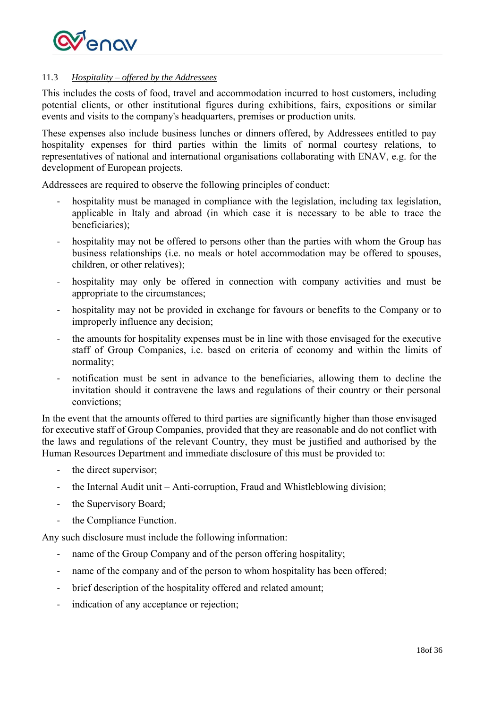

### <span id="page-17-0"></span>11.3 *Hospitality – offered by the Addressees*

This includes the costs of food, travel and accommodation incurred to host customers, including potential clients, or other institutional figures during exhibitions, fairs, expositions or similar events and visits to the company's headquarters, premises or production units.

These expenses also include business lunches or dinners offered, by Addressees entitled to pay hospitality expenses for third parties within the limits of normal courtesy relations, to representatives of national and international organisations collaborating with ENAV, e.g. for the development of European projects.

Addressees are required to observe the following principles of conduct:

- hospitality must be managed in compliance with the legislation, including tax legislation, applicable in Italy and abroad (in which case it is necessary to be able to trace the beneficiaries);
- hospitality may not be offered to persons other than the parties with whom the Group has business relationships (i.e. no meals or hotel accommodation may be offered to spouses, children, or other relatives);
- hospitality may only be offered in connection with company activities and must be appropriate to the circumstances;
- hospitality may not be provided in exchange for favours or benefits to the Company or to improperly influence any decision;
- the amounts for hospitality expenses must be in line with those envisaged for the executive staff of Group Companies, i.e. based on criteria of economy and within the limits of normality;
- notification must be sent in advance to the beneficiaries, allowing them to decline the invitation should it contravene the laws and regulations of their country or their personal convictions;

In the event that the amounts offered to third parties are significantly higher than those envisaged for executive staff of Group Companies, provided that they are reasonable and do not conflict with the laws and regulations of the relevant Country, they must be justified and authorised by the Human Resources Department and immediate disclosure of this must be provided to:

- the direct supervisor;
- the Internal Audit unit Anti-corruption, Fraud and Whistleblowing division;
- the Supervisory Board;
- the Compliance Function.

Any such disclosure must include the following information:

- name of the Group Company and of the person offering hospitality;
- name of the company and of the person to whom hospitality has been offered;
- brief description of the hospitality offered and related amount;
- indication of any acceptance or rejection;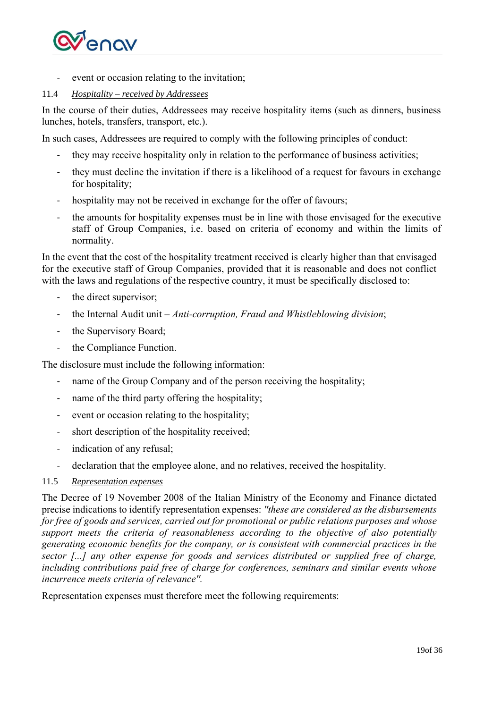

event or occasion relating to the invitation;

### <span id="page-18-0"></span>11.4 *Hospitality – received by Addressees*

In the course of their duties, Addressees may receive hospitality items (such as dinners, business lunches, hotels, transfers, transport, etc.).

In such cases, Addressees are required to comply with the following principles of conduct:

- they may receive hospitality only in relation to the performance of business activities;
- they must decline the invitation if there is a likelihood of a request for favours in exchange for hospitality;
- hospitality may not be received in exchange for the offer of favours;
- the amounts for hospitality expenses must be in line with those envisaged for the executive staff of Group Companies, i.e. based on criteria of economy and within the limits of normality.

In the event that the cost of the hospitality treatment received is clearly higher than that envisaged for the executive staff of Group Companies, provided that it is reasonable and does not conflict with the laws and regulations of the respective country, it must be specifically disclosed to:

- the direct supervisor;
- the Internal Audit unit *Anti-corruption, Fraud and Whistleblowing division*;
- the Supervisory Board;
- the Compliance Function.

The disclosure must include the following information:

- name of the Group Company and of the person receiving the hospitality;
- name of the third party offering the hospitality;
- event or occasion relating to the hospitality;
- short description of the hospitality received;
- indication of any refusal;
- declaration that the employee alone, and no relatives, received the hospitality.
- <span id="page-18-1"></span>11.5 *Representation expenses*

The Decree of 19 November 2008 of the Italian Ministry of the Economy and Finance dictated precise indications to identify representation expenses: *''these are considered as the disbursements for free of goods and services, carried out for promotional or public relations purposes and whose support meets the criteria of reasonableness according to the objective of also potentially generating economic benefits for the company, or is consistent with commercial practices in the sector [...] any other expense for goods and services distributed or supplied free of charge, including contributions paid free of charge for conferences, seminars and similar events whose incurrence meets criteria of relevance''.*

Representation expenses must therefore meet the following requirements: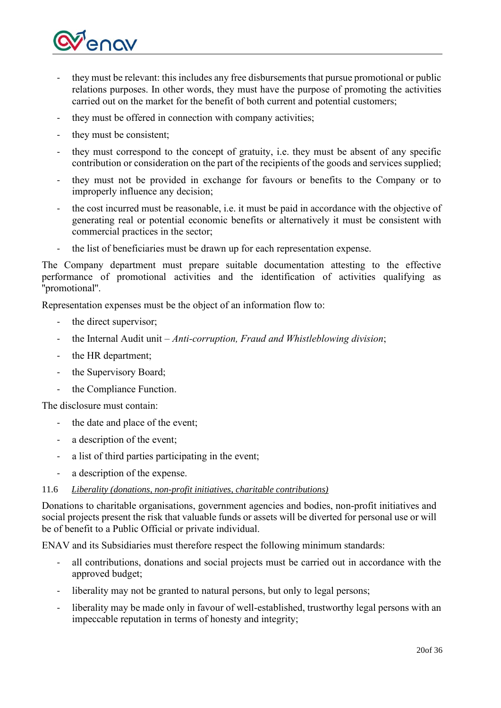

- they must be relevant: this includes any free disbursements that pursue promotional or public relations purposes. In other words, they must have the purpose of promoting the activities carried out on the market for the benefit of both current and potential customers;
- they must be offered in connection with company activities;
- they must be consistent;
- they must correspond to the concept of gratuity, i.e. they must be absent of any specific contribution or consideration on the part of the recipients of the goods and services supplied;
- they must not be provided in exchange for favours or benefits to the Company or to improperly influence any decision;
- the cost incurred must be reasonable, i.e. it must be paid in accordance with the objective of generating real or potential economic benefits or alternatively it must be consistent with commercial practices in the sector;
- the list of beneficiaries must be drawn up for each representation expense.

The Company department must prepare suitable documentation attesting to the effective performance of promotional activities and the identification of activities qualifying as ''promotional''.

Representation expenses must be the object of an information flow to:

- the direct supervisor;
- the Internal Audit unit *Anti-corruption, Fraud and Whistleblowing division*;
- the HR department;
- the Supervisory Board;
- the Compliance Function.

The disclosure must contain:

- the date and place of the event;
- a description of the event;
- a list of third parties participating in the event;
- a description of the expense.

### <span id="page-19-0"></span>11.6 *Liberality (donations, non-profit initiatives, charitable contributions)*

Donations to charitable organisations, government agencies and bodies, non-profit initiatives and social projects present the risk that valuable funds or assets will be diverted for personal use or will be of benefit to a Public Official or private individual.

ENAV and its Subsidiaries must therefore respect the following minimum standards:

- all contributions, donations and social projects must be carried out in accordance with the approved budget;
- liberality may not be granted to natural persons, but only to legal persons;
- liberality may be made only in favour of well-established, trustworthy legal persons with an impeccable reputation in terms of honesty and integrity;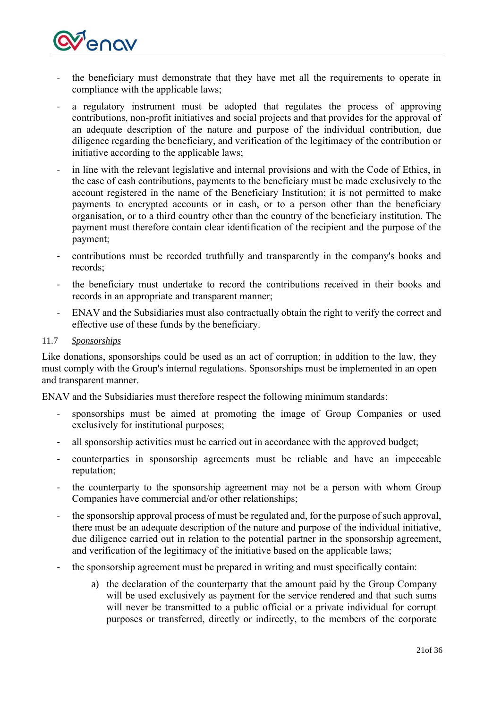

- the beneficiary must demonstrate that they have met all the requirements to operate in compliance with the applicable laws;
- a regulatory instrument must be adopted that regulates the process of approving contributions, non-profit initiatives and social projects and that provides for the approval of an adequate description of the nature and purpose of the individual contribution, due diligence regarding the beneficiary, and verification of the legitimacy of the contribution or initiative according to the applicable laws;
- in line with the relevant legislative and internal provisions and with the Code of Ethics, in the case of cash contributions, payments to the beneficiary must be made exclusively to the account registered in the name of the Beneficiary Institution; it is not permitted to make payments to encrypted accounts or in cash, or to a person other than the beneficiary organisation, or to a third country other than the country of the beneficiary institution. The payment must therefore contain clear identification of the recipient and the purpose of the payment;
- contributions must be recorded truthfully and transparently in the company's books and records;
- the beneficiary must undertake to record the contributions received in their books and records in an appropriate and transparent manner;
- ENAV and the Subsidiaries must also contractually obtain the right to verify the correct and effective use of these funds by the beneficiary.

### <span id="page-20-0"></span>11.7 *Sponsorships*

Like donations, sponsorships could be used as an act of corruption; in addition to the law, they must comply with the Group's internal regulations. Sponsorships must be implemented in an open and transparent manner.

ENAV and the Subsidiaries must therefore respect the following minimum standards:

- sponsorships must be aimed at promoting the image of Group Companies or used exclusively for institutional purposes;
- all sponsorship activities must be carried out in accordance with the approved budget;
- counterparties in sponsorship agreements must be reliable and have an impeccable reputation;
- the counterparty to the sponsorship agreement may not be a person with whom Group Companies have commercial and/or other relationships;
- the sponsorship approval process of must be regulated and, for the purpose of such approval, there must be an adequate description of the nature and purpose of the individual initiative, due diligence carried out in relation to the potential partner in the sponsorship agreement, and verification of the legitimacy of the initiative based on the applicable laws;
- the sponsorship agreement must be prepared in writing and must specifically contain:
	- a) the declaration of the counterparty that the amount paid by the Group Company will be used exclusively as payment for the service rendered and that such sums will never be transmitted to a public official or a private individual for corrupt purposes or transferred, directly or indirectly, to the members of the corporate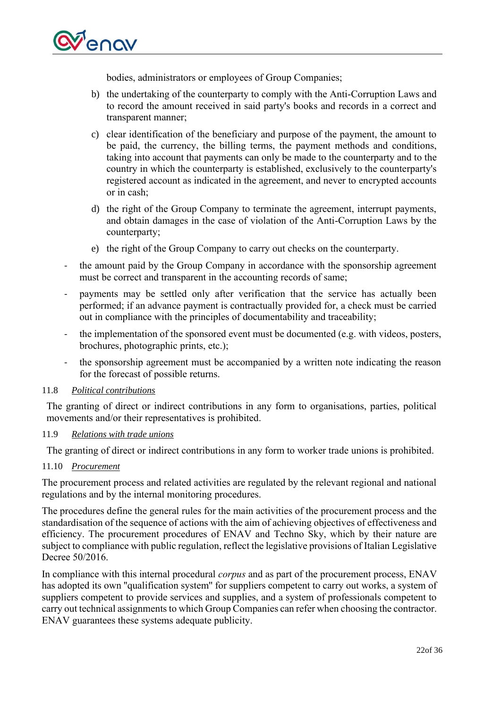

bodies, administrators or employees of Group Companies;

- b) the undertaking of the counterparty to comply with the Anti-Corruption Laws and to record the amount received in said party's books and records in a correct and transparent manner;
- c) clear identification of the beneficiary and purpose of the payment, the amount to be paid, the currency, the billing terms, the payment methods and conditions, taking into account that payments can only be made to the counterparty and to the country in which the counterparty is established, exclusively to the counterparty's registered account as indicated in the agreement, and never to encrypted accounts or in cash;
- d) the right of the Group Company to terminate the agreement, interrupt payments, and obtain damages in the case of violation of the Anti-Corruption Laws by the counterparty;
- e) the right of the Group Company to carry out checks on the counterparty.
- the amount paid by the Group Company in accordance with the sponsorship agreement must be correct and transparent in the accounting records of same;
- payments may be settled only after verification that the service has actually been performed; if an advance payment is contractually provided for, a check must be carried out in compliance with the principles of documentability and traceability;
- the implementation of the sponsored event must be documented (e.g. with videos, posters, brochures, photographic prints, etc.);
- the sponsorship agreement must be accompanied by a written note indicating the reason for the forecast of possible returns.

#### <span id="page-21-0"></span>11.8 *Political contributions*

The granting of direct or indirect contributions in any form to organisations, parties, political movements and/or their representatives is prohibited.

#### <span id="page-21-1"></span>11.9 *Relations with trade unions*

The granting of direct or indirect contributions in any form to worker trade unions is prohibited.

#### <span id="page-21-2"></span>11.10 *Procurement*

The procurement process and related activities are regulated by the relevant regional and national regulations and by the internal monitoring procedures.

The procedures define the general rules for the main activities of the procurement process and the standardisation of the sequence of actions with the aim of achieving objectives of effectiveness and efficiency. The procurement procedures of ENAV and Techno Sky, which by their nature are subject to compliance with public regulation, reflect the legislative provisions of Italian Legislative Decree 50/2016.

In compliance with this internal procedural *corpus* and as part of the procurement process, ENAV has adopted its own ''qualification system'' for suppliers competent to carry out works, a system of suppliers competent to provide services and supplies, and a system of professionals competent to carry out technical assignments to which Group Companies can refer when choosing the contractor. ENAV guarantees these systems adequate publicity.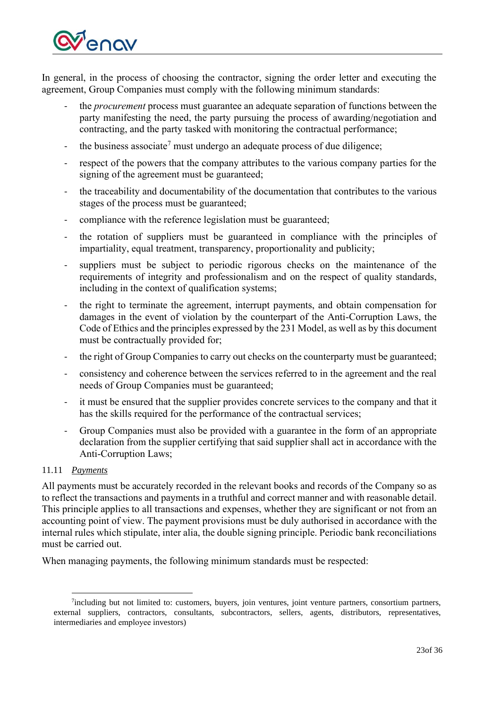

In general, in the process of choosing the contractor, signing the order letter and executing the agreement, Group Companies must comply with the following minimum standards:

- the *procurement* process must guarantee an adequate separation of functions between the party manifesting the need, the party pursuing the process of awarding/negotiation and contracting, and the party tasked with monitoring the contractual performance;
- the business associate<sup>7</sup> must undergo an adequate process of due diligence;
- respect of the powers that the company attributes to the various company parties for the signing of the agreement must be guaranteed;
- the traceability and documentability of the documentation that contributes to the various stages of the process must be guaranteed;
- compliance with the reference legislation must be guaranteed;
- the rotation of suppliers must be guaranteed in compliance with the principles of impartiality, equal treatment, transparency, proportionality and publicity;
- suppliers must be subject to periodic rigorous checks on the maintenance of the requirements of integrity and professionalism and on the respect of quality standards, including in the context of qualification systems;
- the right to terminate the agreement, interrupt payments, and obtain compensation for damages in the event of violation by the counterpart of the Anti-Corruption Laws, the Code of Ethics and the principles expressed by the 231 Model, as well as by this document must be contractually provided for;
- the right of Group Companies to carry out checks on the counterparty must be guaranteed;
- consistency and coherence between the services referred to in the agreement and the real needs of Group Companies must be guaranteed;
- it must be ensured that the supplier provides concrete services to the company and that it has the skills required for the performance of the contractual services;
- Group Companies must also be provided with a guarantee in the form of an appropriate declaration from the supplier certifying that said supplier shall act in accordance with the Anti-Corruption Laws;

### <span id="page-22-0"></span>11.11 *Payments*

All payments must be accurately recorded in the relevant books and records of the Company so as to reflect the transactions and payments in a truthful and correct manner and with reasonable detail. This principle applies to all transactions and expenses, whether they are significant or not from an accounting point of view. The payment provisions must be duly authorised in accordance with the internal rules which stipulate, inter alia, the double signing principle. Periodic bank reconciliations must be carried out.

When managing payments, the following minimum standards must be respected:

<sup>&</sup>lt;sup>7</sup>including but not limited to: customers, buyers, join ventures, joint venture partners, consortium partners, external suppliers, contractors, consultants, subcontractors, sellers, agents, distributors, representatives, intermediaries and employee investors)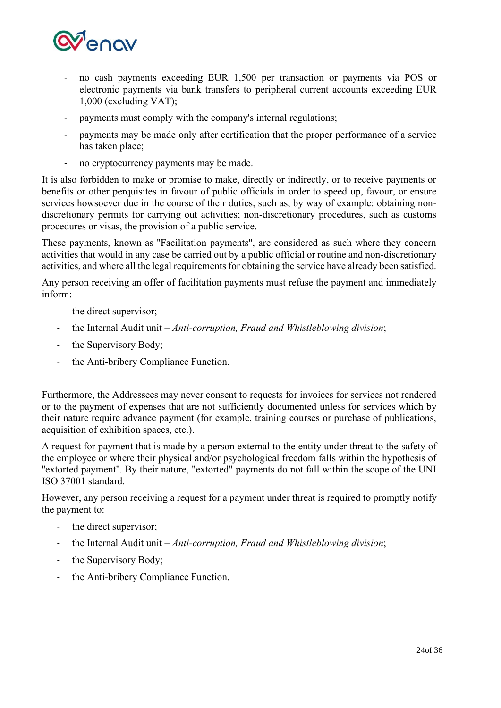

- no cash payments exceeding EUR 1,500 per transaction or payments via POS or electronic payments via bank transfers to peripheral current accounts exceeding EUR 1,000 (excluding VAT);
- payments must comply with the company's internal regulations;
- payments may be made only after certification that the proper performance of a service has taken place;
- no cryptocurrency payments may be made.

It is also forbidden to make or promise to make, directly or indirectly, or to receive payments or benefits or other perquisites in favour of public officials in order to speed up, favour, or ensure services howsoever due in the course of their duties, such as, by way of example: obtaining nondiscretionary permits for carrying out activities; non-discretionary procedures, such as customs procedures or visas, the provision of a public service.

These payments, known as ''Facilitation payments'', are considered as such where they concern activities that would in any case be carried out by a public official or routine and non-discretionary activities, and where all the legal requirements for obtaining the service have already been satisfied.

Any person receiving an offer of facilitation payments must refuse the payment and immediately inform:

- the direct supervisor;
- the Internal Audit unit *Anti-corruption, Fraud and Whistleblowing division*;
- the Supervisory Body;
- the Anti-bribery Compliance Function.

Furthermore, the Addressees may never consent to requests for invoices for services not rendered or to the payment of expenses that are not sufficiently documented unless for services which by their nature require advance payment (for example, training courses or purchase of publications, acquisition of exhibition spaces, etc.).

A request for payment that is made by a person external to the entity under threat to the safety of the employee or where their physical and/or psychological freedom falls within the hypothesis of "extorted payment". By their nature, "extorted" payments do not fall within the scope of the UNI ISO 37001 standard.

However, any person receiving a request for a payment under threat is required to promptly notify the payment to:

- the direct supervisor;
- the Internal Audit unit *Anti-corruption, Fraud and Whistleblowing division*;
- the Supervisory Body;
- the Anti-bribery Compliance Function.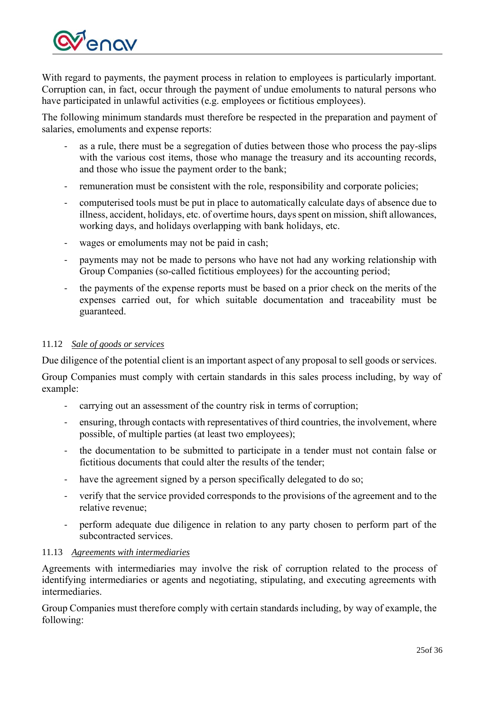

With regard to payments, the payment process in relation to employees is particularly important. Corruption can, in fact, occur through the payment of undue emoluments to natural persons who have participated in unlawful activities (e.g. employees or fictitious employees).

The following minimum standards must therefore be respected in the preparation and payment of salaries, emoluments and expense reports:

- as a rule, there must be a segregation of duties between those who process the pay-slips with the various cost items, those who manage the treasury and its accounting records, and those who issue the payment order to the bank;
- remuneration must be consistent with the role, responsibility and corporate policies;
- computerised tools must be put in place to automatically calculate days of absence due to illness, accident, holidays, etc. of overtime hours, days spent on mission, shift allowances, working days, and holidays overlapping with bank holidays, etc.
- wages or emoluments may not be paid in cash;
- payments may not be made to persons who have not had any working relationship with Group Companies (so-called fictitious employees) for the accounting period;
- the payments of the expense reports must be based on a prior check on the merits of the expenses carried out, for which suitable documentation and traceability must be guaranteed.

### <span id="page-24-0"></span>11.12 *Sale of goods or services*

Due diligence of the potential client is an important aspect of any proposal to sell goods or services.

Group Companies must comply with certain standards in this sales process including, by way of example:

- carrying out an assessment of the country risk in terms of corruption;
- ensuring, through contacts with representatives of third countries, the involvement, where possible, of multiple parties (at least two employees);
- the documentation to be submitted to participate in a tender must not contain false or fictitious documents that could alter the results of the tender;
- have the agreement signed by a person specifically delegated to do so;
- verify that the service provided corresponds to the provisions of the agreement and to the relative revenue;
- perform adequate due diligence in relation to any party chosen to perform part of the subcontracted services.

### <span id="page-24-1"></span>11.13 *Agreements with intermediaries*

Agreements with intermediaries may involve the risk of corruption related to the process of identifying intermediaries or agents and negotiating, stipulating, and executing agreements with intermediaries.

Group Companies must therefore comply with certain standards including, by way of example, the following: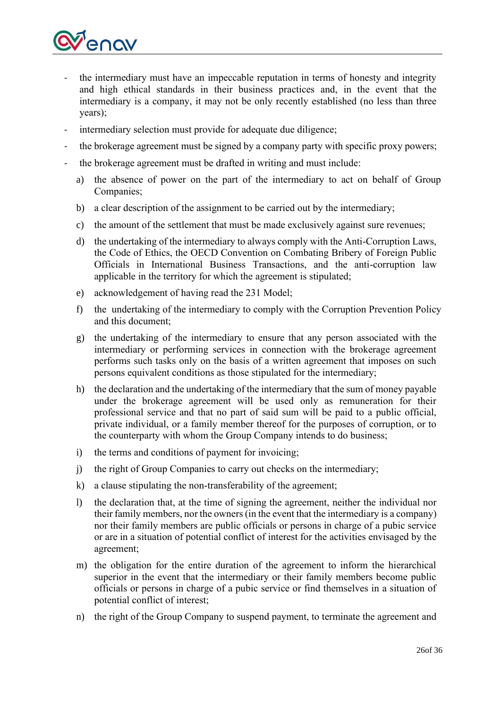

- the intermediary must have an impeccable reputation in terms of honesty and integrity and high ethical standards in their business practices and, in the event that the intermediary is a company, it may not be only recently established (no less than three years);
- intermediary selection must provide for adequate due diligence;
- the brokerage agreement must be signed by a company party with specific proxy powers;
- the brokerage agreement must be drafted in writing and must include:
	- a) the absence of power on the part of the intermediary to act on behalf of Group Companies;
	- b) a clear description of the assignment to be carried out by the intermediary;
	- c) the amount of the settlement that must be made exclusively against sure revenues;
	- d) the undertaking of the intermediary to always comply with the Anti-Corruption Laws, the Code of Ethics, the OECD Convention on Combating Bribery of Foreign Public Officials in International Business Transactions, and the anti-corruption law applicable in the territory for which the agreement is stipulated;
	- e) acknowledgement of having read the 231 Model;
	- f) the undertaking of the intermediary to comply with the Corruption Prevention Policy and this document;
	- g) the undertaking of the intermediary to ensure that any person associated with the intermediary or performing services in connection with the brokerage agreement performs such tasks only on the basis of a written agreement that imposes on such persons equivalent conditions as those stipulated for the intermediary;
	- h) the declaration and the undertaking of the intermediary that the sum of money payable under the brokerage agreement will be used only as remuneration for their professional service and that no part of said sum will be paid to a public official, private individual, or a family member thereof for the purposes of corruption, or to the counterparty with whom the Group Company intends to do business;
	- i) the terms and conditions of payment for invoicing;
	- j) the right of Group Companies to carry out checks on the intermediary;
	- k) a clause stipulating the non-transferability of the agreement;
	- l) the declaration that, at the time of signing the agreement, neither the individual nor their family members, nor the owners (in the event that the intermediary is a company) nor their family members are public officials or persons in charge of a pubic service or are in a situation of potential conflict of interest for the activities envisaged by the agreement;
	- m) the obligation for the entire duration of the agreement to inform the hierarchical superior in the event that the intermediary or their family members become public officials or persons in charge of a pubic service or find themselves in a situation of potential conflict of interest;
	- n) the right of the Group Company to suspend payment, to terminate the agreement and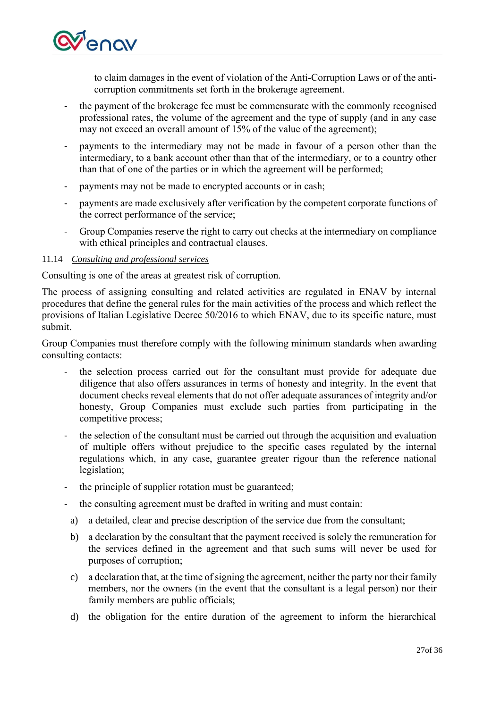

to claim damages in the event of violation of the Anti-Corruption Laws or of the anticorruption commitments set forth in the brokerage agreement.

- the payment of the brokerage fee must be commensurate with the commonly recognised professional rates, the volume of the agreement and the type of supply (and in any case may not exceed an overall amount of 15% of the value of the agreement);
- payments to the intermediary may not be made in favour of a person other than the intermediary, to a bank account other than that of the intermediary, or to a country other than that of one of the parties or in which the agreement will be performed;
- payments may not be made to encrypted accounts or in cash;
- payments are made exclusively after verification by the competent corporate functions of the correct performance of the service;
- Group Companies reserve the right to carry out checks at the intermediary on compliance with ethical principles and contractual clauses.

### <span id="page-26-0"></span>11.14 *Consulting and professional services*

Consulting is one of the areas at greatest risk of corruption.

The process of assigning consulting and related activities are regulated in ENAV by internal procedures that define the general rules for the main activities of the process and which reflect the provisions of Italian Legislative Decree 50/2016 to which ENAV, due to its specific nature, must submit.

Group Companies must therefore comply with the following minimum standards when awarding consulting contacts:

- the selection process carried out for the consultant must provide for adequate due diligence that also offers assurances in terms of honesty and integrity. In the event that document checks reveal elements that do not offer adequate assurances of integrity and/or honesty, Group Companies must exclude such parties from participating in the competitive process;
- the selection of the consultant must be carried out through the acquisition and evaluation of multiple offers without prejudice to the specific cases regulated by the internal regulations which, in any case, guarantee greater rigour than the reference national legislation;
- the principle of supplier rotation must be guaranteed;
- the consulting agreement must be drafted in writing and must contain:
- a) a detailed, clear and precise description of the service due from the consultant;
- b) a declaration by the consultant that the payment received is solely the remuneration for the services defined in the agreement and that such sums will never be used for purposes of corruption;
- c) a declaration that, at the time of signing the agreement, neither the party nor their family members, nor the owners (in the event that the consultant is a legal person) nor their family members are public officials;
- d) the obligation for the entire duration of the agreement to inform the hierarchical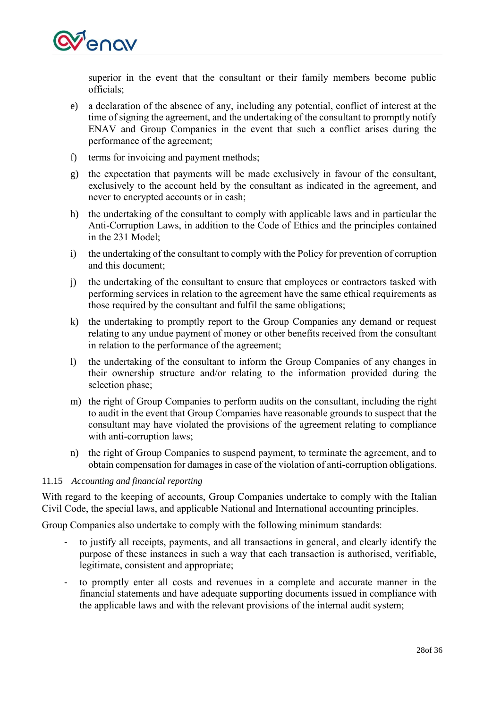

superior in the event that the consultant or their family members become public officials;

- e) a declaration of the absence of any, including any potential, conflict of interest at the time of signing the agreement, and the undertaking of the consultant to promptly notify ENAV and Group Companies in the event that such a conflict arises during the performance of the agreement;
- f) terms for invoicing and payment methods;
- g) the expectation that payments will be made exclusively in favour of the consultant, exclusively to the account held by the consultant as indicated in the agreement, and never to encrypted accounts or in cash;
- h) the undertaking of the consultant to comply with applicable laws and in particular the Anti-Corruption Laws, in addition to the Code of Ethics and the principles contained in the 231 Model;
- i) the undertaking of the consultant to comply with the Policy for prevention of corruption and this document;
- j) the undertaking of the consultant to ensure that employees or contractors tasked with performing services in relation to the agreement have the same ethical requirements as those required by the consultant and fulfil the same obligations;
- k) the undertaking to promptly report to the Group Companies any demand or request relating to any undue payment of money or other benefits received from the consultant in relation to the performance of the agreement;
- l) the undertaking of the consultant to inform the Group Companies of any changes in their ownership structure and/or relating to the information provided during the selection phase;
- m) the right of Group Companies to perform audits on the consultant, including the right to audit in the event that Group Companies have reasonable grounds to suspect that the consultant may have violated the provisions of the agreement relating to compliance with anti-corruption laws;
- n) the right of Group Companies to suspend payment, to terminate the agreement, and to obtain compensation for damages in case of the violation of anti-corruption obligations.

### <span id="page-27-0"></span>11.15 *Accounting and financial reporting*

With regard to the keeping of accounts, Group Companies undertake to comply with the Italian Civil Code, the special laws, and applicable National and International accounting principles.

Group Companies also undertake to comply with the following minimum standards:

- to justify all receipts, payments, and all transactions in general, and clearly identify the purpose of these instances in such a way that each transaction is authorised, verifiable, legitimate, consistent and appropriate;
- to promptly enter all costs and revenues in a complete and accurate manner in the financial statements and have adequate supporting documents issued in compliance with the applicable laws and with the relevant provisions of the internal audit system;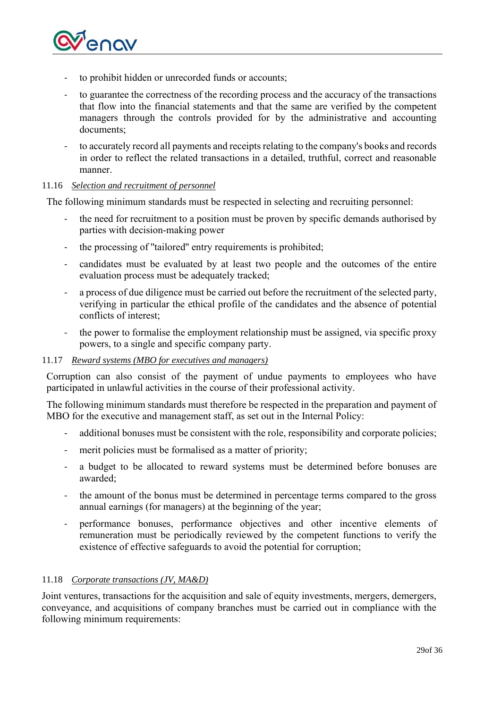

- to prohibit hidden or unrecorded funds or accounts;
- to guarantee the correctness of the recording process and the accuracy of the transactions that flow into the financial statements and that the same are verified by the competent managers through the controls provided for by the administrative and accounting documents;
- to accurately record all payments and receipts relating to the company's books and records in order to reflect the related transactions in a detailed, truthful, correct and reasonable manner.

#### <span id="page-28-0"></span>11.16 *Selection and recruitment of personnel*

The following minimum standards must be respected in selecting and recruiting personnel:

- the need for recruitment to a position must be proven by specific demands authorised by parties with decision-making power
- the processing of "tailored" entry requirements is prohibited;
- candidates must be evaluated by at least two people and the outcomes of the entire evaluation process must be adequately tracked;
- a process of due diligence must be carried out before the recruitment of the selected party, verifying in particular the ethical profile of the candidates and the absence of potential conflicts of interest;
- the power to formalise the employment relationship must be assigned, via specific proxy powers, to a single and specific company party.

#### <span id="page-28-1"></span>11.17 *Reward systems (MBO for executives and managers)*

Corruption can also consist of the payment of undue payments to employees who have participated in unlawful activities in the course of their professional activity.

The following minimum standards must therefore be respected in the preparation and payment of MBO for the executive and management staff, as set out in the Internal Policy:

- additional bonuses must be consistent with the role, responsibility and corporate policies;
- merit policies must be formalised as a matter of priority;
- a budget to be allocated to reward systems must be determined before bonuses are awarded;
- the amount of the bonus must be determined in percentage terms compared to the gross annual earnings (for managers) at the beginning of the year;
- performance bonuses, performance objectives and other incentive elements of remuneration must be periodically reviewed by the competent functions to verify the existence of effective safeguards to avoid the potential for corruption;

#### <span id="page-28-2"></span>11.18 *Corporate transactions (JV, MA&D)*

Joint ventures, transactions for the acquisition and sale of equity investments, mergers, demergers, conveyance, and acquisitions of company branches must be carried out in compliance with the following minimum requirements: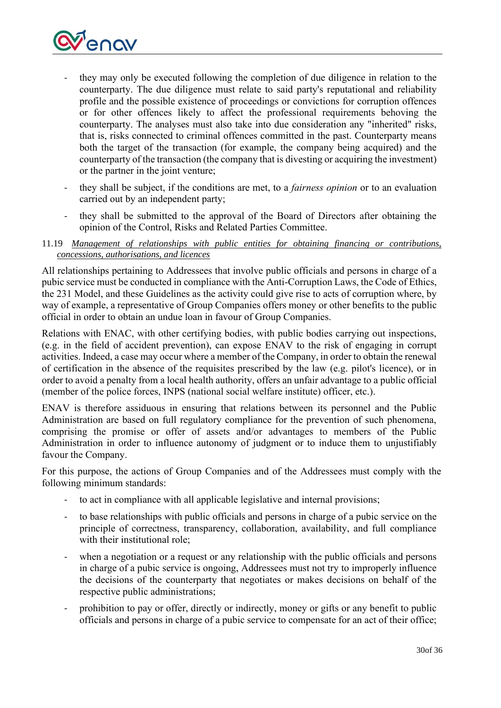

- they may only be executed following the completion of due diligence in relation to the counterparty. The due diligence must relate to said party's reputational and reliability profile and the possible existence of proceedings or convictions for corruption offences or for other offences likely to affect the professional requirements behoving the counterparty. The analyses must also take into due consideration any "inherited" risks, that is, risks connected to criminal offences committed in the past. Counterparty means both the target of the transaction (for example, the company being acquired) and the counterparty of the transaction (the company that is divesting or acquiring the investment) or the partner in the joint venture;
- they shall be subject, if the conditions are met, to a *fairness opinion* or to an evaluation carried out by an independent party;
- they shall be submitted to the approval of the Board of Directors after obtaining the opinion of the Control, Risks and Related Parties Committee.

### <span id="page-29-0"></span>11.19 *Management of relationships with public entities for obtaining financing or contributions, concessions, authorisations, and licences*

All relationships pertaining to Addressees that involve public officials and persons in charge of a pubic service must be conducted in compliance with the Anti-Corruption Laws, the Code of Ethics, the 231 Model, and these Guidelines as the activity could give rise to acts of corruption where, by way of example, a representative of Group Companies offers money or other benefits to the public official in order to obtain an undue loan in favour of Group Companies.

Relations with ENAC, with other certifying bodies, with public bodies carrying out inspections, (e.g. in the field of accident prevention), can expose ENAV to the risk of engaging in corrupt activities. Indeed, a case may occur where a member of the Company, in order to obtain the renewal of certification in the absence of the requisites prescribed by the law (e.g. pilot's licence), or in order to avoid a penalty from a local health authority, offers an unfair advantage to a public official (member of the police forces, INPS (national social welfare institute) officer, etc.).

ENAV is therefore assiduous in ensuring that relations between its personnel and the Public Administration are based on full regulatory compliance for the prevention of such phenomena, comprising the promise or offer of assets and/or advantages to members of the Public Administration in order to influence autonomy of judgment or to induce them to unjustifiably favour the Company.

For this purpose, the actions of Group Companies and of the Addressees must comply with the following minimum standards:

- to act in compliance with all applicable legislative and internal provisions;
- to base relationships with public officials and persons in charge of a pubic service on the principle of correctness, transparency, collaboration, availability, and full compliance with their institutional role;
- when a negotiation or a request or any relationship with the public officials and persons in charge of a pubic service is ongoing, Addressees must not try to improperly influence the decisions of the counterparty that negotiates or makes decisions on behalf of the respective public administrations;
- prohibition to pay or offer, directly or indirectly, money or gifts or any benefit to public officials and persons in charge of a pubic service to compensate for an act of their office;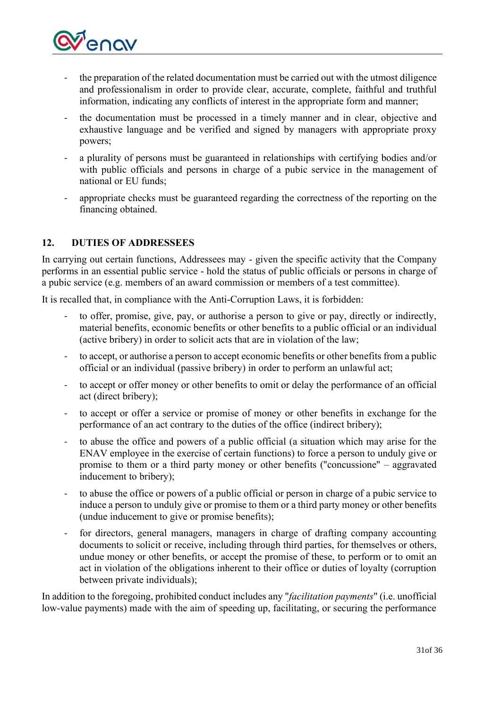

- the preparation of the related documentation must be carried out with the utmost diligence and professionalism in order to provide clear, accurate, complete, faithful and truthful information, indicating any conflicts of interest in the appropriate form and manner;
- the documentation must be processed in a timely manner and in clear, objective and exhaustive language and be verified and signed by managers with appropriate proxy powers;
- a plurality of persons must be guaranteed in relationships with certifying bodies and/or with public officials and persons in charge of a pubic service in the management of national or EU funds;
- appropriate checks must be guaranteed regarding the correctness of the reporting on the financing obtained.

## <span id="page-30-0"></span>**12. DUTIES OF ADDRESSEES**

In carrying out certain functions, Addressees may - given the specific activity that the Company performs in an essential public service - hold the status of public officials or persons in charge of a pubic service (e.g. members of an award commission or members of a test committee).

It is recalled that, in compliance with the Anti-Corruption Laws, it is forbidden:

- to offer, promise, give, pay, or authorise a person to give or pay, directly or indirectly, material benefits, economic benefits or other benefits to a public official or an individual (active bribery) in order to solicit acts that are in violation of the law;
- to accept, or authorise a person to accept economic benefits or other benefits from a public official or an individual (passive bribery) in order to perform an unlawful act;
- to accept or offer money or other benefits to omit or delay the performance of an official act (direct bribery);
- to accept or offer a service or promise of money or other benefits in exchange for the performance of an act contrary to the duties of the office (indirect bribery);
- to abuse the office and powers of a public official (a situation which may arise for the ENAV employee in the exercise of certain functions) to force a person to unduly give or promise to them or a third party money or other benefits (''concussione'' – aggravated inducement to bribery);
- to abuse the office or powers of a public official or person in charge of a pubic service to induce a person to unduly give or promise to them or a third party money or other benefits (undue inducement to give or promise benefits);
- for directors, general managers, managers in charge of drafting company accounting documents to solicit or receive, including through third parties, for themselves or others, undue money or other benefits, or accept the promise of these, to perform or to omit an act in violation of the obligations inherent to their office or duties of loyalty (corruption between private individuals);

In addition to the foregoing, prohibited conduct includes any "*facilitation payments*" (i.e. unofficial low-value payments) made with the aim of speeding up, facilitating, or securing the performance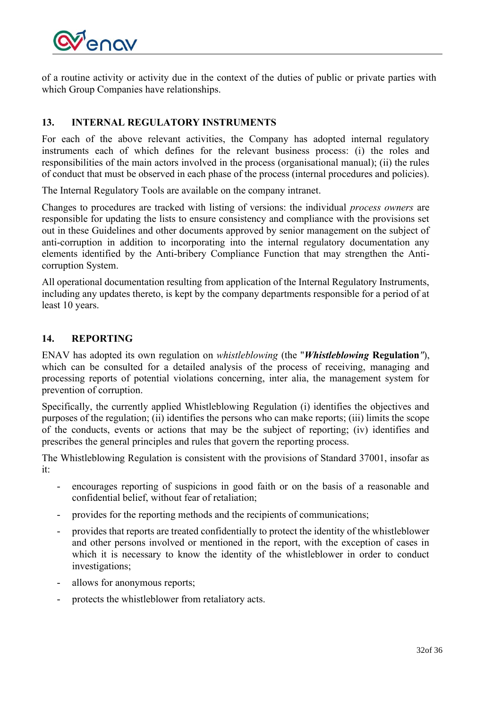

of a routine activity or activity due in the context of the duties of public or private parties with which Group Companies have relationships.

## <span id="page-31-0"></span>**13. INTERNAL REGULATORY INSTRUMENTS**

For each of the above relevant activities, the Company has adopted internal regulatory instruments each of which defines for the relevant business process: (i) the roles and responsibilities of the main actors involved in the process (organisational manual); (ii) the rules of conduct that must be observed in each phase of the process (internal procedures and policies).

The Internal Regulatory Tools are available on the company intranet.

Changes to procedures are tracked with listing of versions: the individual *process owners* are responsible for updating the lists to ensure consistency and compliance with the provisions set out in these Guidelines and other documents approved by senior management on the subject of anti-corruption in addition to incorporating into the internal regulatory documentation any elements identified by the Anti-bribery Compliance Function that may strengthen the Anticorruption System.

All operational documentation resulting from application of the Internal Regulatory Instruments, including any updates thereto, is kept by the company departments responsible for a period of at least 10 years.

## <span id="page-31-1"></span>**14. REPORTING**

ENAV has adopted its own regulation on *whistleblowing* (the "*Whistleblowing* **Regulation***"*), which can be consulted for a detailed analysis of the process of receiving, managing and processing reports of potential violations concerning, inter alia, the management system for prevention of corruption.

Specifically, the currently applied Whistleblowing Regulation (i) identifies the objectives and purposes of the regulation; (ii) identifies the persons who can make reports; (iii) limits the scope of the conducts, events or actions that may be the subject of reporting; (iv) identifies and prescribes the general principles and rules that govern the reporting process.

The Whistleblowing Regulation is consistent with the provisions of Standard 37001, insofar as it:

- encourages reporting of suspicions in good faith or on the basis of a reasonable and confidential belief, without fear of retaliation;
- provides for the reporting methods and the recipients of communications;
- provides that reports are treated confidentially to protect the identity of the whistleblower and other persons involved or mentioned in the report, with the exception of cases in which it is necessary to know the identity of the whistleblower in order to conduct investigations;
- allows for anonymous reports;
- protects the whistleblower from retaliatory acts.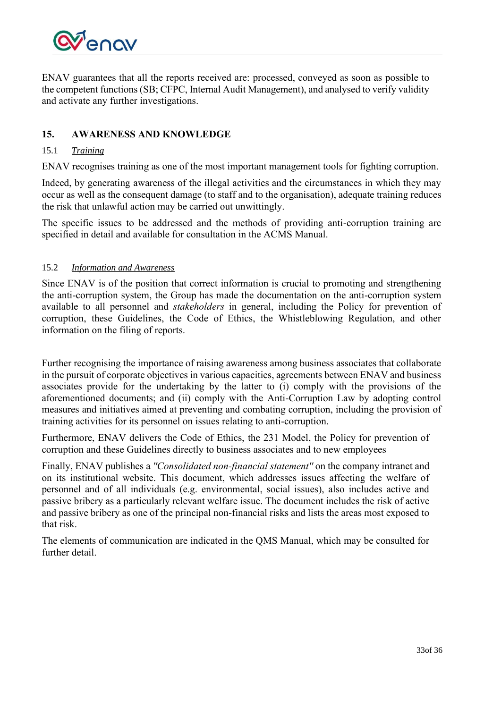

ENAV guarantees that all the reports received are: processed, conveyed as soon as possible to the competent functions (SB; CFPC, Internal Audit Management), and analysed to verify validity and activate any further investigations.

## <span id="page-32-0"></span>**15. AWARENESS AND KNOWLEDGE**

### <span id="page-32-1"></span>15.1 *Training*

ENAV recognises training as one of the most important management tools for fighting corruption.

Indeed, by generating awareness of the illegal activities and the circumstances in which they may occur as well as the consequent damage (to staff and to the organisation), adequate training reduces the risk that unlawful action may be carried out unwittingly.

The specific issues to be addressed and the methods of providing anti-corruption training are specified in detail and available for consultation in the ACMS Manual.

#### <span id="page-32-2"></span>15.2 *Information and Awareness*

Since ENAV is of the position that correct information is crucial to promoting and strengthening the anti-corruption system, the Group has made the documentation on the anti-corruption system available to all personnel and *stakeholders* in general, including the Policy for prevention of corruption, these Guidelines, the Code of Ethics, the Whistleblowing Regulation, and other information on the filing of reports.

Further recognising the importance of raising awareness among business associates that collaborate in the pursuit of corporate objectives in various capacities, agreements between ENAV and business associates provide for the undertaking by the latter to (i) comply with the provisions of the aforementioned documents; and (ii) comply with the Anti-Corruption Law by adopting control measures and initiatives aimed at preventing and combating corruption, including the provision of training activities for its personnel on issues relating to anti-corruption.

Furthermore, ENAV delivers the Code of Ethics, the 231 Model, the Policy for prevention of corruption and these Guidelines directly to business associates and to new employees

Finally, ENAV publishes a *''Consolidated non-financial statement''* on the company intranet and on its institutional website. This document, which addresses issues affecting the welfare of personnel and of all individuals (e.g. environmental, social issues), also includes active and passive bribery as a particularly relevant welfare issue. The document includes the risk of active and passive bribery as one of the principal non-financial risks and lists the areas most exposed to that risk.

The elements of communication are indicated in the QMS Manual, which may be consulted for further detail.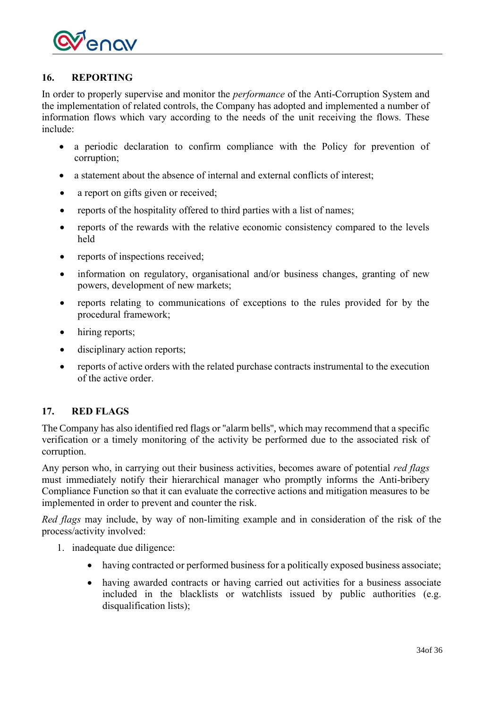

## <span id="page-33-0"></span>**16. REPORTING**

In order to properly supervise and monitor the *performance* of the Anti-Corruption System and the implementation of related controls, the Company has adopted and implemented a number of information flows which vary according to the needs of the unit receiving the flows. These include:

- a periodic declaration to confirm compliance with the Policy for prevention of corruption;
- a statement about the absence of internal and external conflicts of interest;
- a report on gifts given or received;
- reports of the hospitality offered to third parties with a list of names;
- reports of the rewards with the relative economic consistency compared to the levels held
- reports of inspections received;
- information on regulatory, organisational and/or business changes, granting of new powers, development of new markets;
- reports relating to communications of exceptions to the rules provided for by the procedural framework;
- hiring reports;
- disciplinary action reports;
- reports of active orders with the related purchase contracts instrumental to the execution of the active order.

### <span id="page-33-1"></span>**17. RED FLAGS**

The Company has also identified red flags or ''alarm bells'', which may recommend that a specific verification or a timely monitoring of the activity be performed due to the associated risk of corruption.

Any person who, in carrying out their business activities, becomes aware of potential *red flags*  must immediately notify their hierarchical manager who promptly informs the Anti-bribery Compliance Function so that it can evaluate the corrective actions and mitigation measures to be implemented in order to prevent and counter the risk.

*Red flags* may include, by way of non-limiting example and in consideration of the risk of the process/activity involved:

- 1. inadequate due diligence:
	- having contracted or performed business for a politically exposed business associate;
	- having awarded contracts or having carried out activities for a business associate included in the blacklists or watchlists issued by public authorities (e.g. disqualification lists);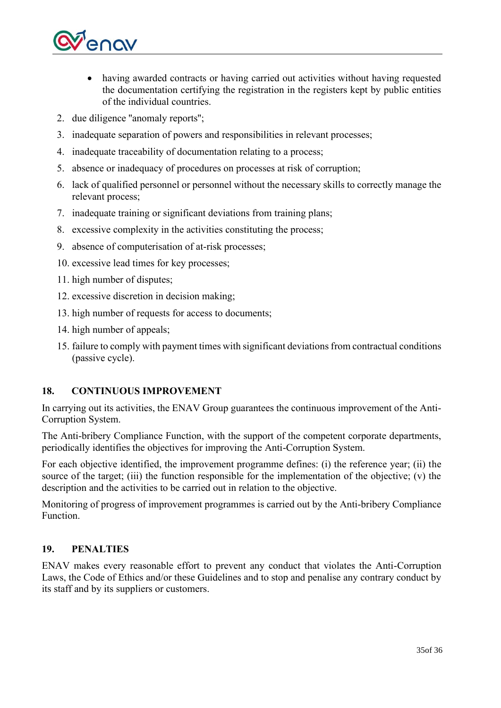

- having awarded contracts or having carried out activities without having requested the documentation certifying the registration in the registers kept by public entities of the individual countries.
- 2. due diligence ''anomaly reports'';
- 3. inadequate separation of powers and responsibilities in relevant processes;
- 4. inadequate traceability of documentation relating to a process;
- 5. absence or inadequacy of procedures on processes at risk of corruption;
- 6. lack of qualified personnel or personnel without the necessary skills to correctly manage the relevant process;
- 7. inadequate training or significant deviations from training plans;
- 8. excessive complexity in the activities constituting the process;
- 9. absence of computerisation of at-risk processes;
- 10. excessive lead times for key processes;
- 11. high number of disputes;
- 12. excessive discretion in decision making;
- 13. high number of requests for access to documents;
- 14. high number of appeals;
- 15. failure to comply with payment times with significant deviations from contractual conditions (passive cycle).

### <span id="page-34-0"></span>**18. CONTINUOUS IMPROVEMENT**

In carrying out its activities, the ENAV Group guarantees the continuous improvement of the Anti-Corruption System.

The Anti-bribery Compliance Function, with the support of the competent corporate departments, periodically identifies the objectives for improving the Anti-Corruption System.

For each objective identified, the improvement programme defines: (i) the reference year; (ii) the source of the target; (iii) the function responsible for the implementation of the objective;  $(v)$  the description and the activities to be carried out in relation to the objective.

Monitoring of progress of improvement programmes is carried out by the Anti-bribery Compliance Function.

## <span id="page-34-1"></span>**19. PENALTIES**

ENAV makes every reasonable effort to prevent any conduct that violates the Anti-Corruption Laws, the Code of Ethics and/or these Guidelines and to stop and penalise any contrary conduct by its staff and by its suppliers or customers.